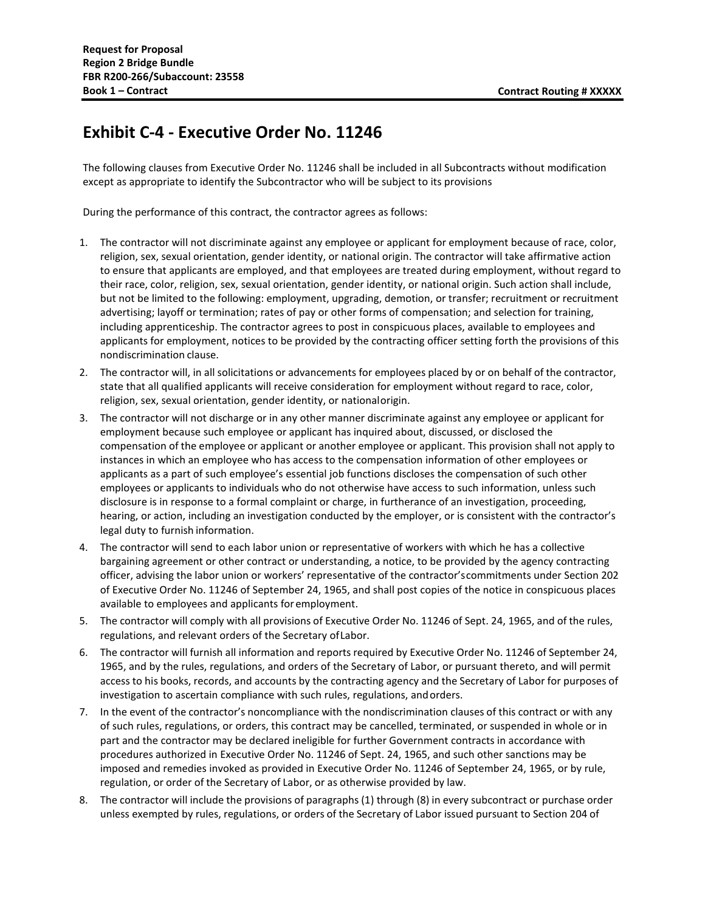## **Exhibit C-4 - Executive Order No. 11246**

The following clauses from Executive Order No. 11246 shall be included in all Subcontracts without modification except as appropriate to identify the Subcontractor who will be subject to its provisions

During the performance of this contract, the contractor agrees as follows:

- 1. The contractor will not discriminate against any employee or applicant for employment because of race, color, religion, sex, sexual orientation, gender identity, or national origin. The contractor will take affirmative action to ensure that applicants are employed, and that employees are treated during employment, without regard to their race, color, religion, sex, sexual orientation, gender identity, or national origin. Such action shall include, but not be limited to the following: employment, upgrading, demotion, or transfer; recruitment or recruitment advertising; layoff or termination; rates of pay or other forms of compensation; and selection for training, including apprenticeship. The contractor agrees to post in conspicuous places, available to employees and applicants for employment, notices to be provided by the contracting officer setting forth the provisions of this nondiscrimination clause.
- 2. The contractor will, in all solicitations or advancements for employees placed by or on behalf of the contractor, state that all qualified applicants will receive consideration for employment without regard to race, color, religion, sex, sexual orientation, gender identity, or nationalorigin.
- 3. The contractor will not discharge or in any other manner discriminate against any employee or applicant for employment because such employee or applicant has inquired about, discussed, or disclosed the compensation of the employee or applicant or another employee or applicant. This provision shall not apply to instances in which an employee who has access to the compensation information of other employees or applicants as a part of such employee's essential job functions discloses the compensation of such other employees or applicants to individuals who do not otherwise have access to such information, unless such disclosure is in response to a formal complaint or charge, in furtherance of an investigation, proceeding, hearing, or action, including an investigation conducted by the employer, or is consistent with the contractor's legal duty to furnish information.
- 4. The contractor will send to each labor union or representative of workers with which he has a collective bargaining agreement or other contract or understanding, a notice, to be provided by the agency contracting officer, advising the labor union or workers' representative of the contractor'scommitments under Section 202 of Executive Order No. 11246 of September 24, 1965, and shall post copies of the notice in conspicuous places available to employees and applicants foremployment.
- 5. The contractor will comply with all provisions of Executive Order No. 11246 of Sept. 24, 1965, and of the rules, regulations, and relevant orders of the Secretary ofLabor.
- 6. The contractor will furnish all information and reports required by Executive Order No. 11246 of September 24, 1965, and by the rules, regulations, and orders of the Secretary of Labor, or pursuant thereto, and will permit access to his books, records, and accounts by the contracting agency and the Secretary of Labor for purposes of investigation to ascertain compliance with such rules, regulations, andorders.
- 7. In the event of the contractor's noncompliance with the nondiscrimination clauses of this contract or with any of such rules, regulations, or orders, this contract may be cancelled, terminated, or suspended in whole or in part and the contractor may be declared ineligible for further Government contracts in accordance with procedures authorized in Executive Order No. 11246 of Sept. 24, 1965, and such other sanctions may be imposed and remedies invoked as provided in Executive Order No. 11246 of September 24, 1965, or by rule, regulation, or order of the Secretary of Labor, or as otherwise provided by law.
- 8. The contractor will include the provisions of paragraphs (1) through (8) in every subcontract or purchase order unless exempted by rules, regulations, or orders of the Secretary of Labor issued pursuant to Section 204 of